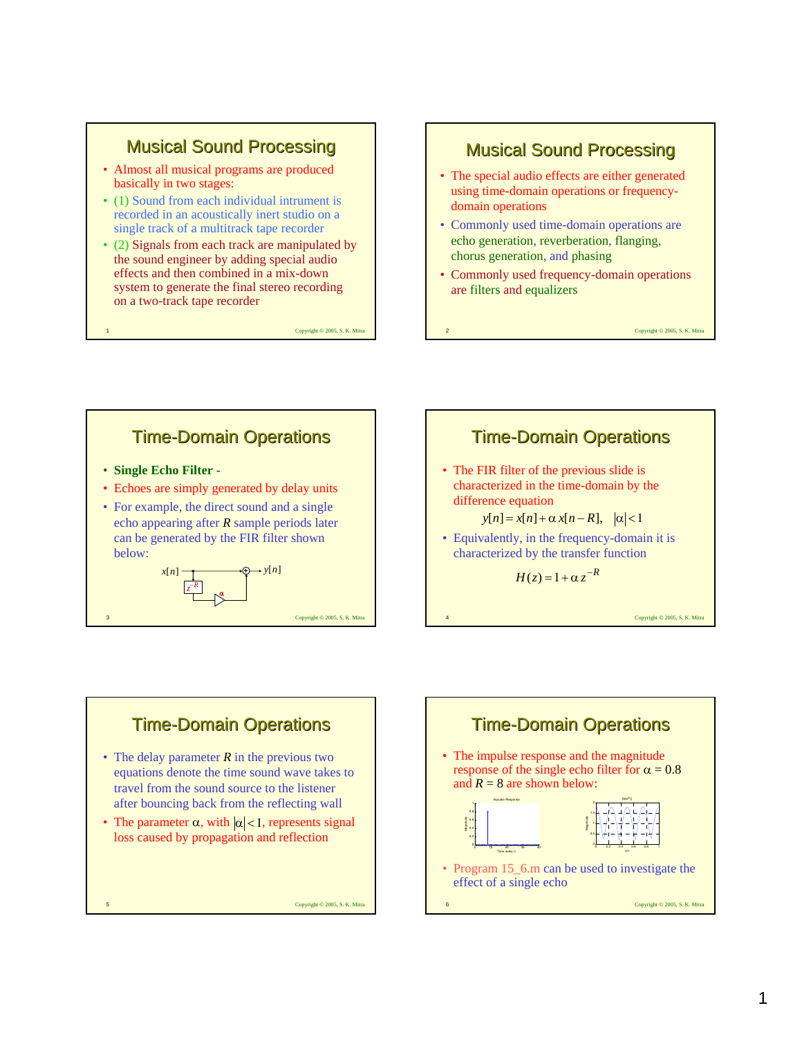### **Musical Sound Processing**

- Almost all musical programs are produced basically in two stages:
- (1) Sound from each individual intrument is recorded in an acoustically inert studio on a single track of a multitrack tape recorder
- (2) Signals from each track are manipulated by the sound engineer by adding special audio effects and then combined in a mix-down system to generate the final stereo recording on a two-track tape recorder

Copyright © 2005, S. K. Mitr

3 Copyright © 2005, S. K. Mitra

#### **Musical Sound Processing**

- The special audio effects are either generated using time-domain operations or frequencydomain operations
- Commonly used time-domain operations are echo generation, reverberation, flanging, chorus generation, and phasing
- Commonly used frequency-domain operations are filters and equalizers

2 Copyright © 2005, S. K. Mitra

**Time-Domain Operations** • **Single Echo Filter -** • Echoes are simply generated by delay units • For example, the direct sound and a single echo appearing after *R* sample periods later can be generated by the FIR filter shown below: **+**  $\overline{z}^{-R}$ − α  $x[n]$ 





- The delay parameter *R* in the previous two equations denote the time sound wave takes to travel from the sound source to the listener after bouncing back from the reflecting wall
- The parameter  $\alpha$ , with  $|\alpha|$  < 1, represents signal loss caused by propagation and reflection

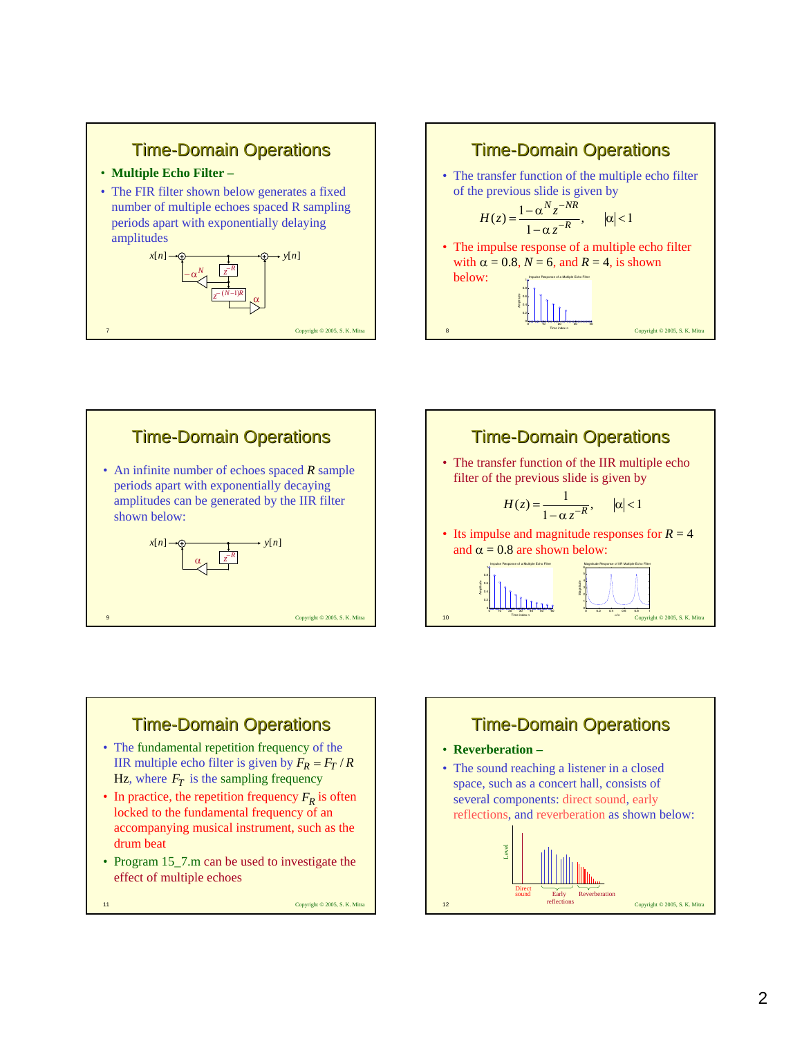









- In practice, the repetition frequency  $F_R$  is often locked to the fundamental frequency of an accompanying musical instrument, such as the drum beat
- Program 15\_7.m can be used to investigate the effect of multiple echoes

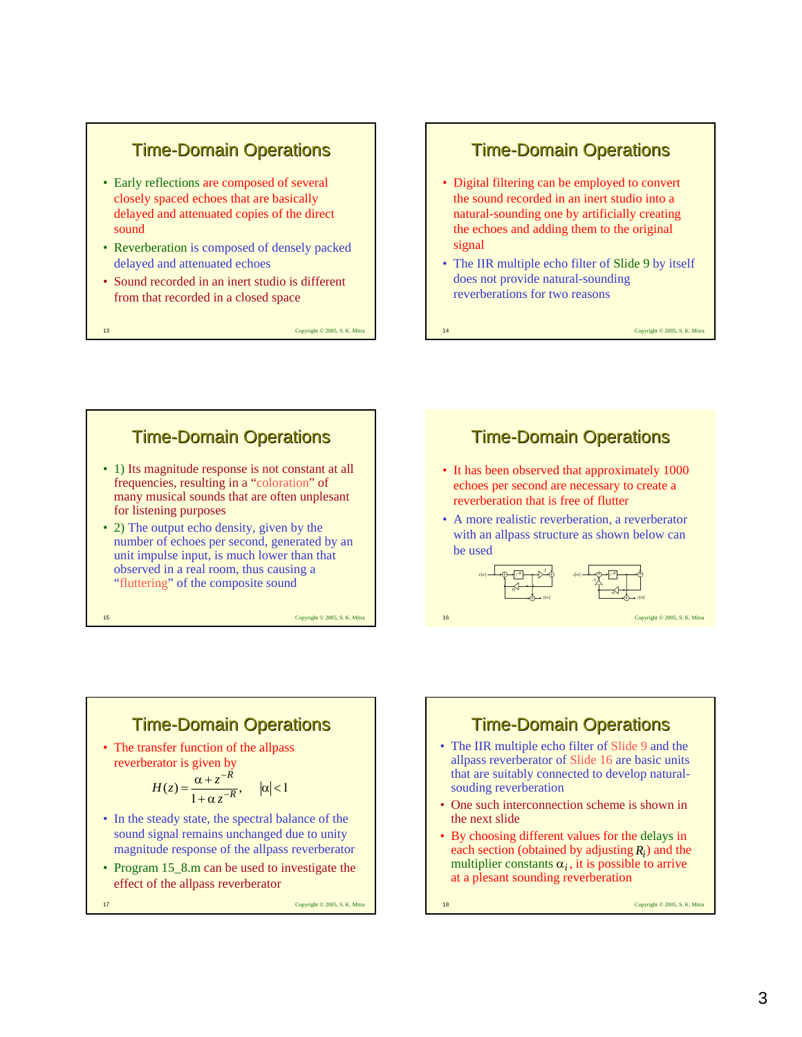### **Time-Domain Operations**

- Early reflections are composed of several closely spaced echoes that are basically delayed and attenuated copies of the direct sound
- Reverberation is composed of densely packed delayed and attenuated echoes
- Sound recorded in an inert studio is different from that recorded in a closed space

13 Copyright © 2005, S. K. Mitra

#### **Time-Domain Operations**

- Digital filtering can be employed to convert the sound recorded in an inert studio into a natural-sounding one by artificially creating the echoes and adding them to the original signal
- The IIR multiple echo filter of Slide 9 by itself does not provide natural-sounding reverberations for two reasons

14 Copyright © 2005, S. K. Mitra

16 Copyright © 2005, S. K. Mitra

# **Time-Domain Operations** • 1) Its magnitude response is not constant at all

- frequencies, resulting in a "coloration" of many musical sounds that are often unplesant for listening purposes
- 2) The output echo density, given by the number of echoes per second, generated by an unit impulse input, is much lower than that observed in a real room, thus causing a "fluttering" of the composite sound

15 Copyright © 2005, S. K. Mitra

#### **Time-Domain Operations**

- It has been observed that approximately 1000 echoes per second are necessary to create a reverberation that is free of flutter
- A more realistic reverberation, a reverberator with an allpass structure as shown below can be used



#### **Time-Domain Operations**

• The transfer function of the allpass reverberator is given by

$$
H(z) = \frac{\alpha + z^{-R}}{1 + \alpha z^{-R}}, \quad |\alpha| < 1
$$

- In the steady state, the spectral balance of the sound signal remains unchanged due to unity magnitude response of the allpass reverberator
- Program 15  $8 \text{ m}$  can be used to investigate the effect of the allpass reverberator

17 Copyright © 2005, S. K. Mitra

# **Time-Domain Operations**

- The IIR multiple echo filter of Slide 9 and the allpass reverberator of Slide 16 are basic units that are suitably connected to develop naturalsouding reverberation
- One such interconnection scheme is shown in the next slide
- By choosing different values for the delays in each section (obtained by adjusting  $R_i$ ) and the multiplier constants  $\alpha_i$ , it is possible to arrive at a plesant sounding reverberation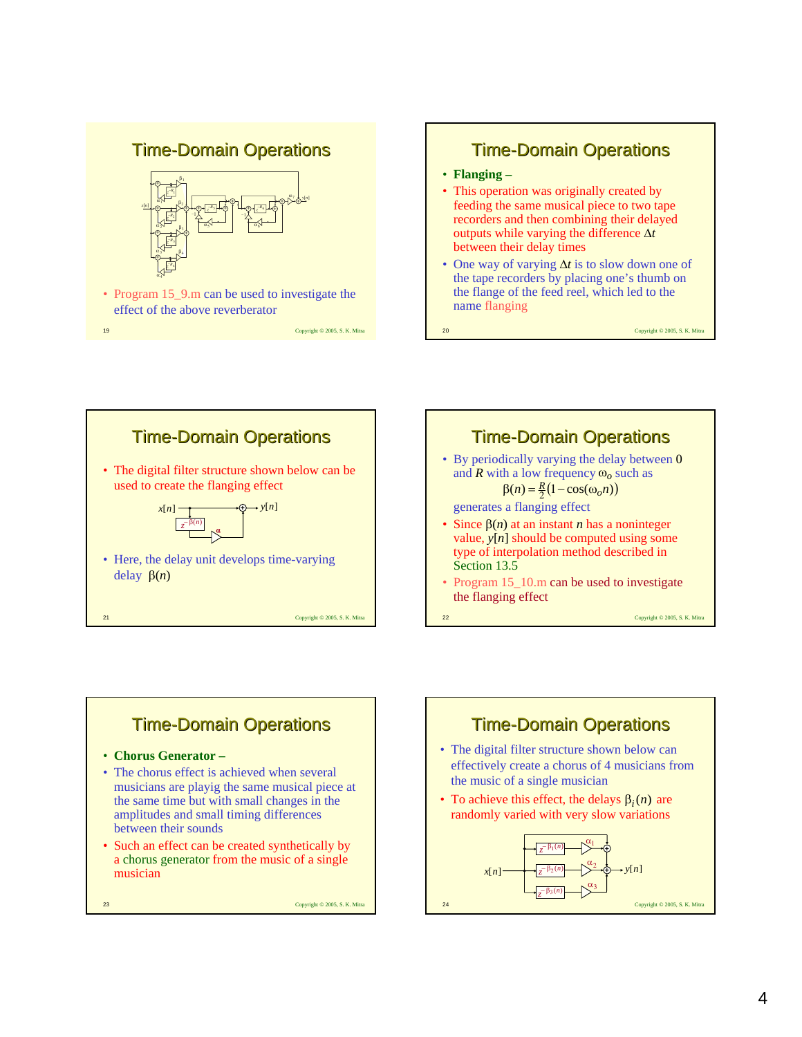#### **Time-Domain Operations**



• Program 15\_9.m can be used to investigate the effect of the above reverberator









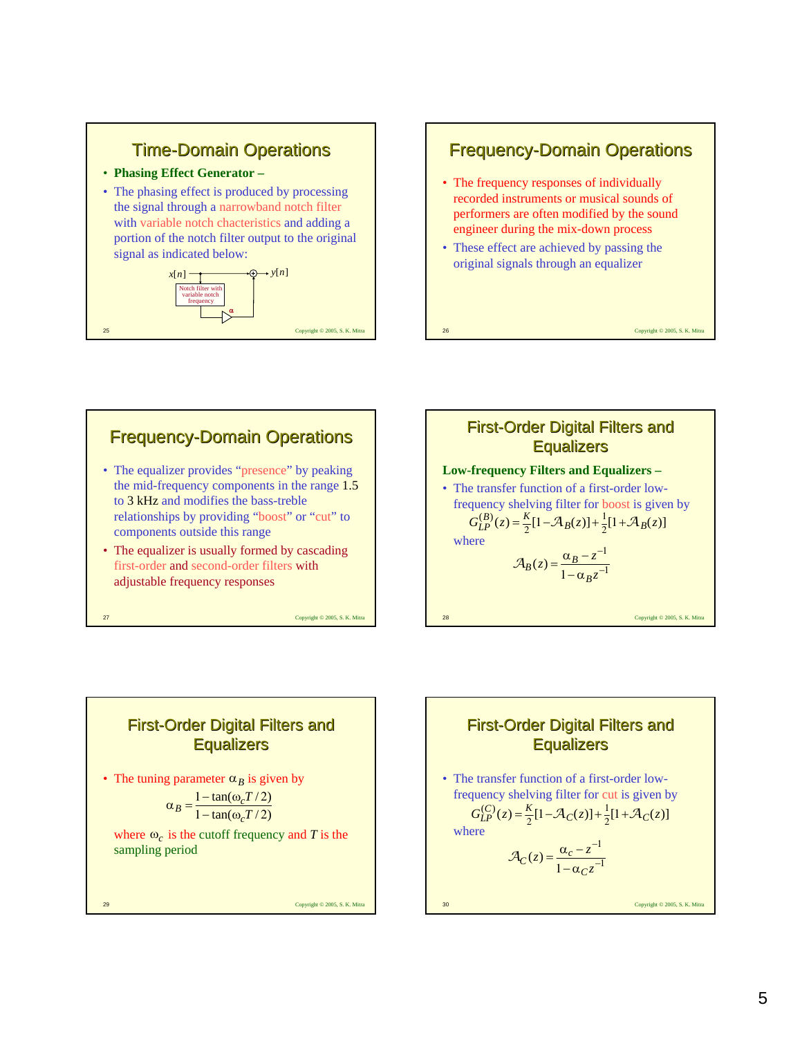



### **Frequency-Domain Operations** • The equalizer provides "presence" by peaking the mid-frequency components in the range 1.5 to 3 kHz and modifies the bass-treble relationships by providing "boost" or "cut" to components outside this range • The equalizer is usually formed by cascading





# First-Order Digital Filters and **Equalizers**

• The tuning parameter  $\alpha_B$  is given by

$$
\alpha_B = \frac{1 - \tan(\omega_c T/2)}{1 - \tan(\omega_c T/2)}
$$

where  $\omega_c$  is the cutoff frequency and *T* is the sampling period

29 Copyright © 2005, S. K. Mitra

#### 30 Copyright © 2005, S. K. Mitra First-Order Digital Filters and **Equalizers** • The transfer function of a first-order lowfrequency shelving filter for cut is given by where  $G_{LP}^{(C)}(z) = \frac{K}{2}[1 - \mathcal{A}_C(z)] + \frac{1}{2}[1 + \mathcal{A}_C(z)]$ 2 1 1  $1 - \alpha_C z^{-1}$ −  $z = \frac{\alpha_c - z^2}{1 - \alpha_c z}$ *C*  $\mathcal{A}_C(z) = \frac{\alpha_c}{\alpha}$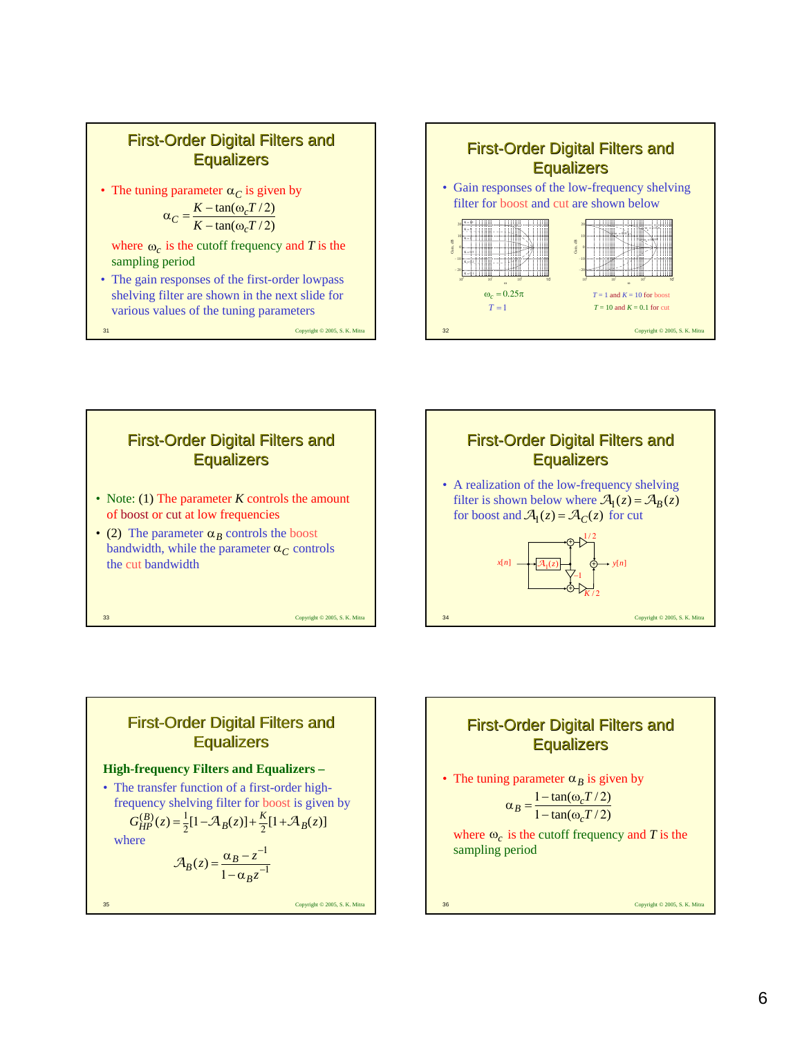









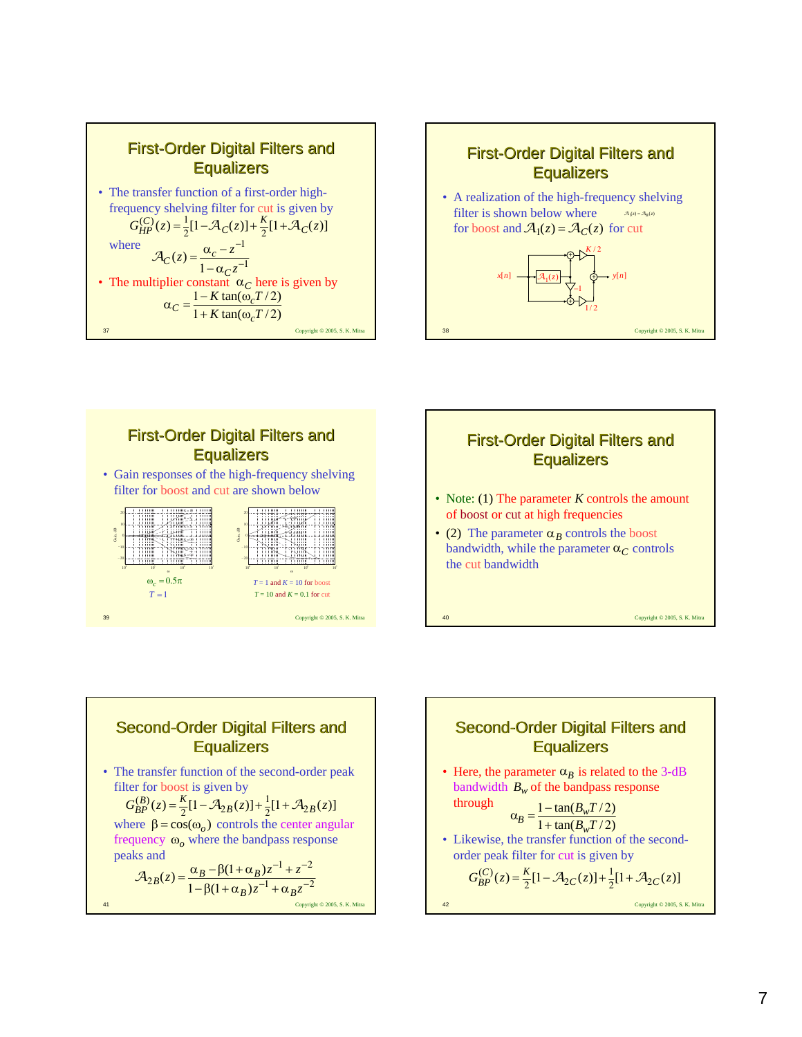









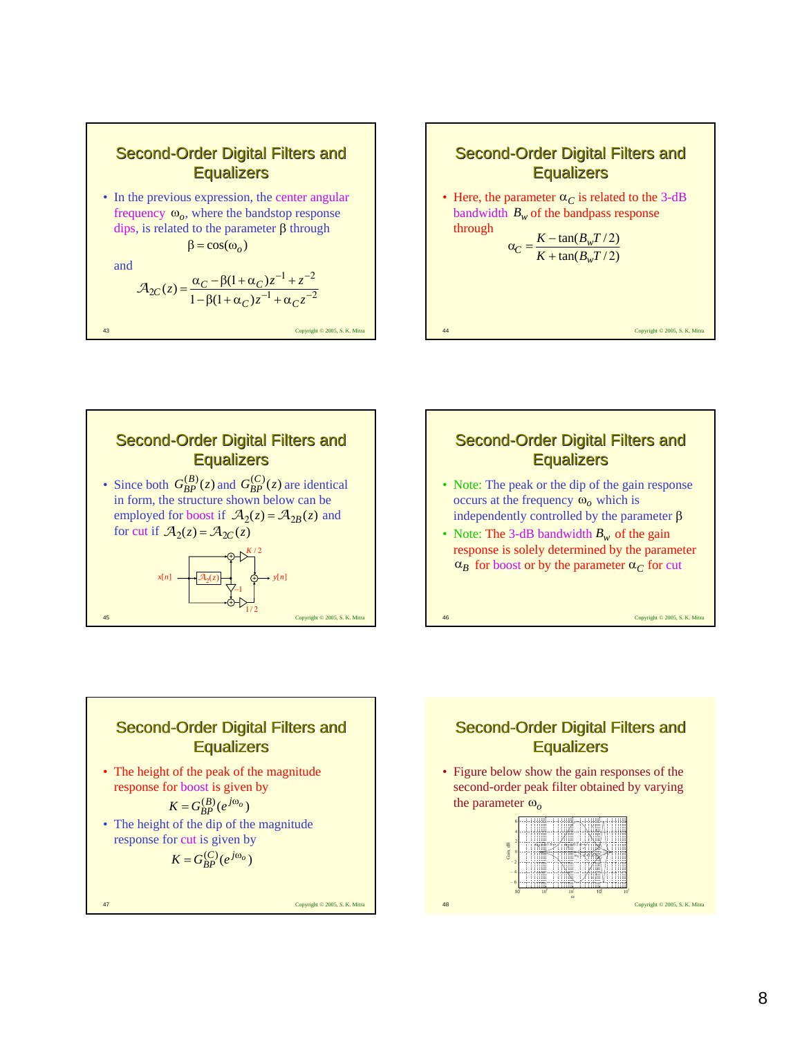







- Note: The peak or the dip of the gain response occurs at the frequency  $\omega_o$  which is independently controlled by the parameter  $\beta$
- Note: The 3-dB bandwidth  $B_w$  of the gain response is solely determined by the parameter  $\alpha_B$  for boost or by the parameter  $\alpha_C$  for cut

46 Copyright © 2005, S. K. Mitra

#### **Second-Order Digital Filters and Equalizers**

• The height of the peak of the magnitude response for boost is given by

$$
K = G_{BP}^{(B)}(e^{j\omega_o})
$$

• The height of the dip of the magnitude response for cut is given by

$$
K = G_{BP}^{(C)}(e^{j\omega_o})
$$

47 Copyright © 2005, S. K. Mitra

# Second-Order Digital Filters and **Equalizers**

• Figure below show the gain responses of the second-order peak filter obtained by varying the parameter ω*<sup>o</sup>*

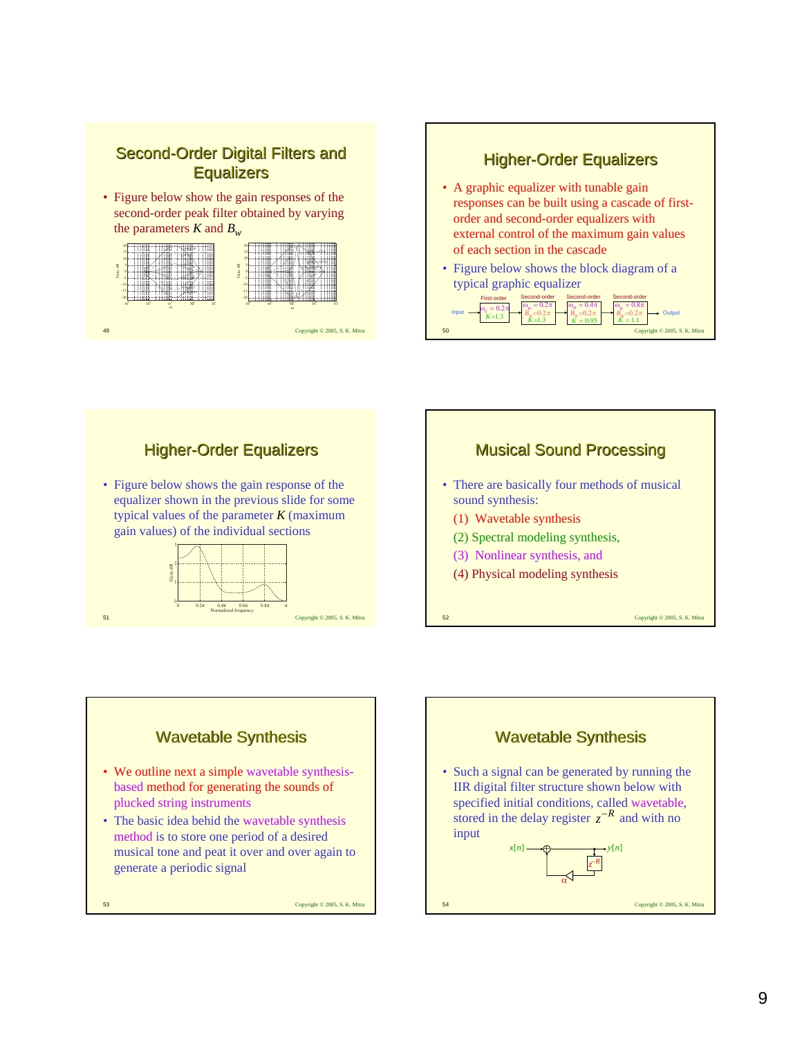#### Second-Order Digital Filters and **Equalizers**

• Figure below show the gain responses of the second-order peak filter obtained by varying the parameters  $K$  and  $B_w$ 











51 Copyright © 2005, S. K. Mitra

Normalized frequency

- We outline next a simple wavetable synthesisbased method for generating the sounds of plucked string instruments
- The basic idea behid the wavetable synthesis method is to store one period of a desired musical tone and peat it over and over again to generate a periodic signal



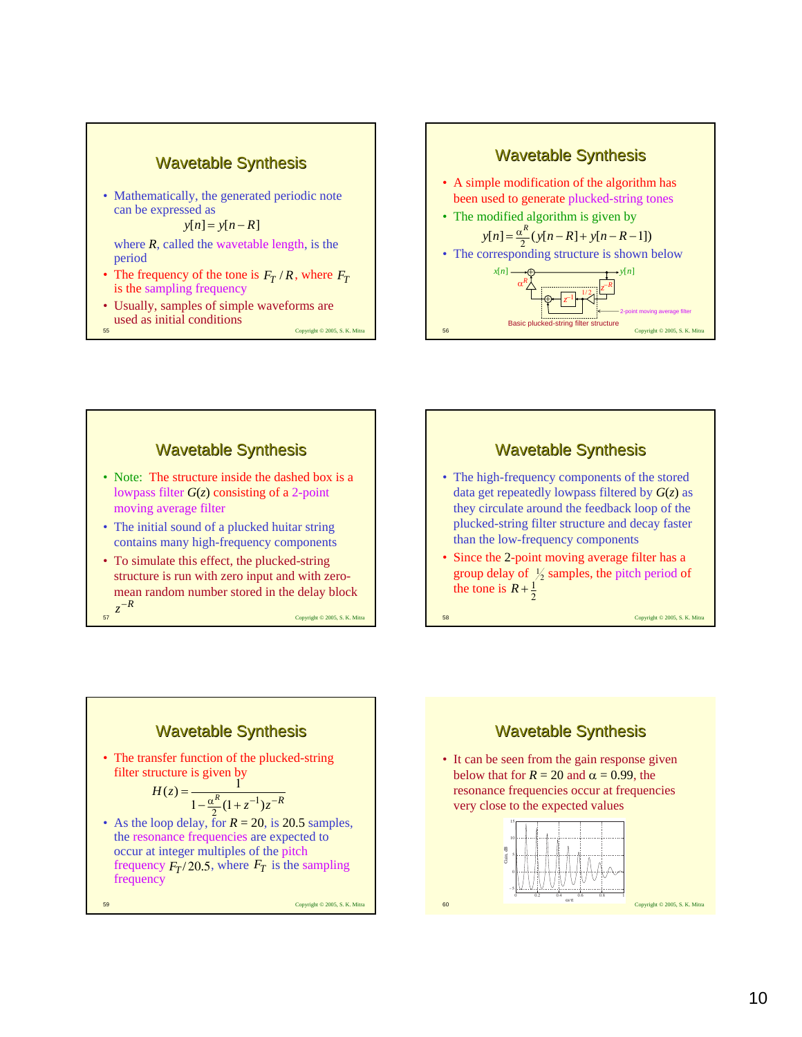









- The high-frequency components of the stored data get repeatedly lowpass filtered by *G*(*z*) as they circulate around the feedback loop of the plucked-string filter structure and decay faster than the low-frequency components
- Since the 2-point moving average filter has a group delay of  $\frac{1}{2}$  samples, the pitch period of the tone is  $R + \frac{1}{2}$

58 Copyright © 2005, S. K. Mitra





• It can be seen from the gain response given below that for  $R = 20$  and  $\alpha = 0.99$ , the resonance frequencies occur at frequencies very close to the expected values